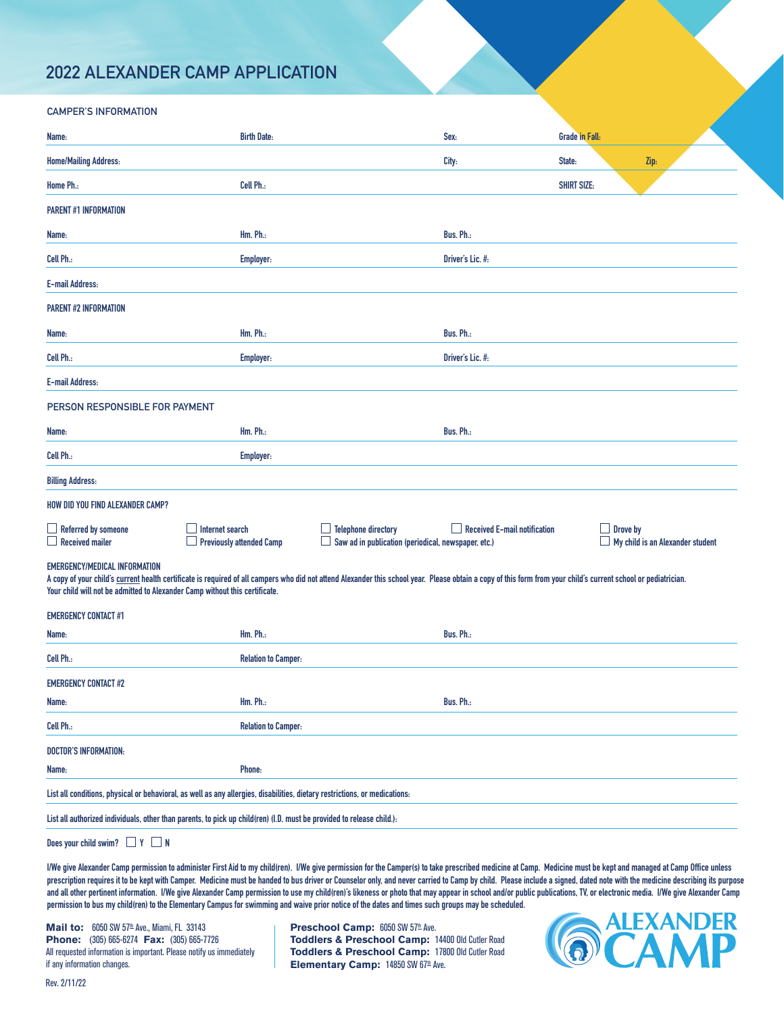## **2022 ALEXANDER CAMP APPLICATION**

| <b>CAMPER'S INFORMATION</b>                                                                                                                                                                                                                                                                                                     |                                                                                                                       |                                                                                   |                                     |                       |          |                                         |  |
|---------------------------------------------------------------------------------------------------------------------------------------------------------------------------------------------------------------------------------------------------------------------------------------------------------------------------------|-----------------------------------------------------------------------------------------------------------------------|-----------------------------------------------------------------------------------|-------------------------------------|-----------------------|----------|-----------------------------------------|--|
| Name:                                                                                                                                                                                                                                                                                                                           | <b>Birth Date:</b>                                                                                                    |                                                                                   | Sex:                                | <b>Grade in Fall:</b> |          |                                         |  |
| <b>Home/Mailing Address:</b>                                                                                                                                                                                                                                                                                                    |                                                                                                                       |                                                                                   | City:                               | State:                |          | Zip:                                    |  |
| Home Ph.:                                                                                                                                                                                                                                                                                                                       | Cell Ph.:                                                                                                             |                                                                                   |                                     | <b>SHIRT SIZE:</b>    |          |                                         |  |
| <b>PARENT #1 INFORMATION</b>                                                                                                                                                                                                                                                                                                    |                                                                                                                       |                                                                                   |                                     |                       |          |                                         |  |
| Name:                                                                                                                                                                                                                                                                                                                           | Hm. Ph.:                                                                                                              |                                                                                   | Bus. Ph.:                           |                       |          |                                         |  |
| Cell Ph.:                                                                                                                                                                                                                                                                                                                       | <b>Employer:</b>                                                                                                      |                                                                                   | Driver's Lic. #:                    |                       |          |                                         |  |
| <b>E-mail Address:</b>                                                                                                                                                                                                                                                                                                          |                                                                                                                       |                                                                                   |                                     |                       |          |                                         |  |
| <b>PARENT #2 INFORMATION</b>                                                                                                                                                                                                                                                                                                    |                                                                                                                       |                                                                                   |                                     |                       |          |                                         |  |
| Name:                                                                                                                                                                                                                                                                                                                           | $Hm$ . $Ph$ .:                                                                                                        |                                                                                   | Bus. Ph.:                           |                       |          |                                         |  |
| Cell Ph.:                                                                                                                                                                                                                                                                                                                       | <b>Employer:</b>                                                                                                      |                                                                                   | Driver's Lic. #:                    |                       |          |                                         |  |
| <b>E-mail Address:</b>                                                                                                                                                                                                                                                                                                          |                                                                                                                       |                                                                                   |                                     |                       |          |                                         |  |
| PERSON RESPONSIBLE FOR PAYMENT                                                                                                                                                                                                                                                                                                  |                                                                                                                       |                                                                                   |                                     |                       |          |                                         |  |
| Name:                                                                                                                                                                                                                                                                                                                           | Hm. Ph.:                                                                                                              |                                                                                   | Bus. Ph.:                           |                       |          |                                         |  |
| Cell Ph.:                                                                                                                                                                                                                                                                                                                       | Employer:                                                                                                             |                                                                                   |                                     |                       |          |                                         |  |
| <b>Billing Address:</b>                                                                                                                                                                                                                                                                                                         |                                                                                                                       |                                                                                   |                                     |                       |          |                                         |  |
| <b>HOW DID YOU FIND ALEXANDER CAMP?</b>                                                                                                                                                                                                                                                                                         |                                                                                                                       |                                                                                   |                                     |                       |          |                                         |  |
| $\Box$ Referred by someone<br><b>Received mailer</b>                                                                                                                                                                                                                                                                            | Internet search<br><b>Previously attended Camp</b><br>ப                                                               | <b>Telephone directory</b><br>Saw ad in publication (periodical, newspaper, etc.) | <b>Received E-mail notification</b> |                       | Drove by | $\Box$ My child is an Alexander student |  |
| EMERGENCY/MEDICAL INFORMATION<br>A copy of your child's current health certificate is required of all campers who did not attend Alexander this school year. Please obtain a copy of this form from your child's current school or pediatrician.<br>Your child will not be admitted to Alexander Camp without this certificate. |                                                                                                                       |                                                                                   |                                     |                       |          |                                         |  |
| <b>EMERGENCY CONTACT #1</b>                                                                                                                                                                                                                                                                                                     |                                                                                                                       |                                                                                   |                                     |                       |          |                                         |  |
| Name:                                                                                                                                                                                                                                                                                                                           | Hm. Ph.:                                                                                                              |                                                                                   | Bus. Ph.:                           |                       |          |                                         |  |
| Cell Ph.:                                                                                                                                                                                                                                                                                                                       | <b>Relation to Camper:</b>                                                                                            |                                                                                   |                                     |                       |          |                                         |  |
| <b>EMERGENCY CONTACT #2</b>                                                                                                                                                                                                                                                                                                     |                                                                                                                       |                                                                                   |                                     |                       |          |                                         |  |
| Name:                                                                                                                                                                                                                                                                                                                           | <b>Hm. Ph.:</b>                                                                                                       |                                                                                   | Bus. Ph.:                           |                       |          |                                         |  |
| Cell Ph.:                                                                                                                                                                                                                                                                                                                       | <b>Relation to Camper:</b>                                                                                            |                                                                                   |                                     |                       |          |                                         |  |
| DOCTOR'S INFORMATION:                                                                                                                                                                                                                                                                                                           |                                                                                                                       |                                                                                   |                                     |                       |          |                                         |  |
| Name:                                                                                                                                                                                                                                                                                                                           | Phone:                                                                                                                |                                                                                   |                                     |                       |          |                                         |  |
| List all conditions, physical or behavioral, as well as any allergies, disabilities, dietary restrictions, or medications:                                                                                                                                                                                                      |                                                                                                                       |                                                                                   |                                     |                       |          |                                         |  |
|                                                                                                                                                                                                                                                                                                                                 | List all authorized individuals, other than parents, to pick up child(ren) (I.D. must be provided to release child.): |                                                                                   |                                     |                       |          |                                         |  |
| Does your child swim? $\Box$ Y $\Box$ N                                                                                                                                                                                                                                                                                         |                                                                                                                       |                                                                                   |                                     |                       |          |                                         |  |

**I/We give Alexander Camp permission to administer First Aid to my child(ren). I/We give permission for the Camper(s) to take prescribed medicine at Camp. Medicine must be kept and managed at Camp Office unless**  prescription requires it to be kept with Camper. Medicine must be handed to bus driver or Counselor only, and never carried to Camp by child. Please include a signed, dated note with the medicine describing its purpose and all other pertinent information. I/We give Alexander Camp permission to use my child(ren)'s likeness or photo that may appear in school and/or public publications, TV, or electronic media. I/We give Alexander Camp **permission to bus my child(ren) to the Elementary Campus for swimming and waive prior notice of the dates and times such groups may be scheduled.**

**Mail to:** 6050 SW 57<sup>th</sup> Ave., Miami, FL 33143 **Phone:** (305) 665-6274 **Fax:** (305) 665-7726 All requested information is important. Please notify us immediately if any information changes.

**Preschool Camp:** 6050 SW 57th Ave. **Toddlers & Preschool Camp:** 14400 Old Cutler Road **Toddlers & Preschool Camp:** 17800 Old Cutler Road **Elementary Camp:** 14850 SW 67th Ave.